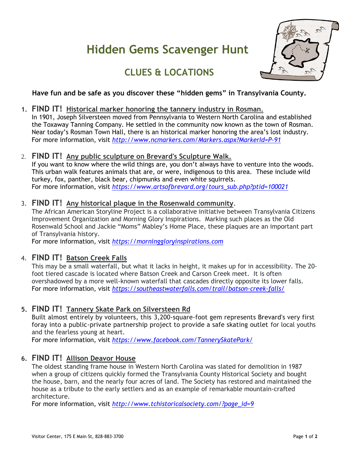# **Hidden Gems Scavenger Hunt**



# **CLUES & LOCATIONS**

#### **Have fun and be safe as you discover these "hidden gems" in Transylvania County.**

**1. FIND IT! Historical marker honoring the tannery industry in Rosman.** 

In 1901, Joseph Silversteen moved from Pennsylvania to Western North Carolina and established the Toxaway Tanning Company. He settled in the community now known as the town of Rosman. Near today's Rosman Town Hall, there is an historical marker honoring the area's lost industry. For more information, visit *[http://www.ncmarkers.com/Markers.aspx?MarkerId=P-91](http://www.ncmarkers.com/Markers.aspx?MarkerId=P-91%20)*

2. **FIND IT! Any public sculpture on Brevard's Sculpture Walk.** 

If you want to know where the wild things are, you don't always have to venture into the woods. This urban walk features animals that are, or were, indigenous to this area. These include wild turkey, fox, panther, black bear, chipmunks and even white squirrels. For more information, visit *[https://www.artsofbrevard.org/tours\\_sub.php?ptid=100021](https://www.artsofbrevard.org/tours_sub.php?ptid=100021)*

3. **FIND IT! Any historical plaque in the Rosenwald community***.* 

The African American Storyline Project is a collaborative initiative between Transylvania Citizens Improvement Organization and Morning Glory Inspirations. Marking such places as the Old Rosenwald School and Jackie "Moms" Mabley's Home Place, these plaques are an important part of Transylvania history.

For more information, visit *[https://morninggloryinspirations.com](https://morninggloryinspirations.com/)*

#### 4. **FIND IT! Batson Creek Falls**

This may be a small waterfall, but what it lacks in height, it makes up for in accessibility. The 20 foot tiered cascade is located where Batson Creek and Carson Creek meet. It is often overshadowed by a more well-known waterfall that cascades directly opposite its lower falls. For more information, visit *<https://southeastwaterfalls.com/trail/batson-creek-falls/>*

# **5. FIND IT! Tannery Skate Park on Silversteen Rd**

Built almost entirely by volunteers, this 3,200-square-foot gem represents Brevard's very first foray into a public-private partnership project to provide a safe skating outlet for local youths and the fearless young at heart.

For more information, visit *<https://www.facebook.com/TannerySkatePark/>*

#### **6. FIND IT! Allison Deavor House**

The oldest standing frame house in Western North Carolina was slated for demolition in 1987 when a group of citizens quickly formed the Transylvania County Historical Society and bought the house, barn, and the nearly four acres of land. The Society has restored and maintained the house as a tribute to the early settlers and as an example of remarkable mountain-crafted architecture.

For more information, visit *[http://www.tchistoricalsociety.com/?page\\_id=9](http://www.tchistoricalsociety.com/?page_id=9%20)*